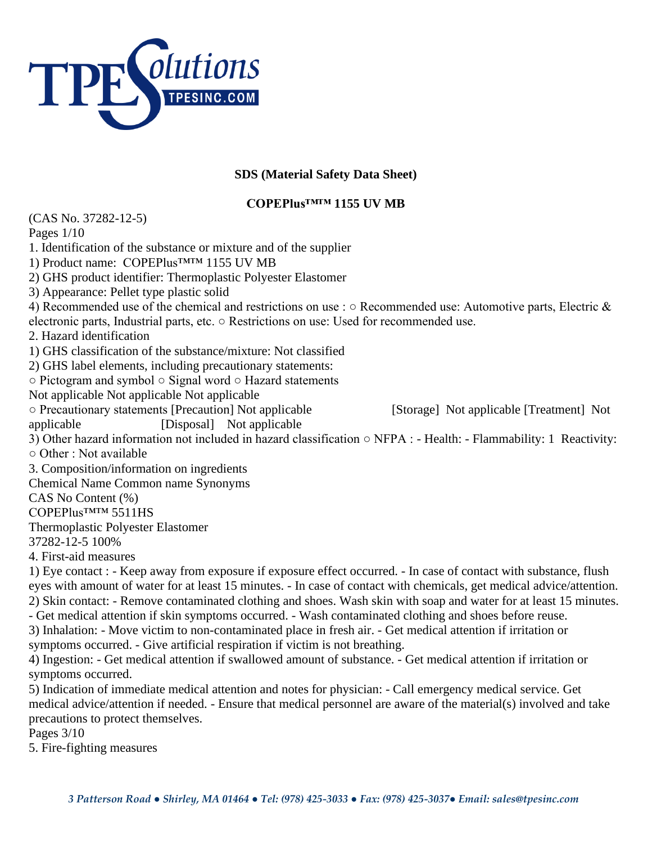

## **SDS (Material Safety Data Sheet)**

## **COPEPlus™™ 1155 UV MB**

(CAS No. 37282-12-5) Pages 1/10 1. Identification of the substance or mixture and of the supplier 1) Product name: COPEPlus™™ 1155 UV MB 2) GHS product identifier: Thermoplastic Polyester Elastomer 3) Appearance: Pellet type plastic solid 4) Recommended use of the chemical and restrictions on use : ○ Recommended use: Automotive parts, Electric & electronic parts, Industrial parts, etc. ○ Restrictions on use: Used for recommended use. 2. Hazard identification 1) GHS classification of the substance/mixture: Not classified 2) GHS label elements, including precautionary statements: ○ Pictogram and symbol ○ Signal word ○ Hazard statements Not applicable Not applicable Not applicable ○ Precautionary statements [Precaution] Not applicable [Storage] Not applicable [Treatment] Not applicable [Disposal] Not applicable 3) Other hazard information not included in hazard classification ○ NFPA : - Health: - Flammability: 1 Reactivity:  $\circ$  Other  $\cdot$  Not available 3. Composition/information on ingredients Chemical Name Common name Synonyms CAS No Content (%) COPEPlus™™ 5511HS Thermoplastic Polyester Elastomer 37282-12-5 100% 4. First-aid measures 1) Eye contact : - Keep away from exposure if exposure effect occurred. - In case of contact with substance, flush eyes with amount of water for at least 15 minutes. - In case of contact with chemicals, get medical advice/attention. 2) Skin contact: - Remove contaminated clothing and shoes. Wash skin with soap and water for at least 15 minutes. - Get medical attention if skin symptoms occurred. - Wash contaminated clothing and shoes before reuse. 3) Inhalation: - Move victim to non-contaminated place in fresh air. - Get medical attention if irritation or symptoms occurred. - Give artificial respiration if victim is not breathing. 4) Ingestion: - Get medical attention if swallowed amount of substance. - Get medical attention if irritation or symptoms occurred. 5) Indication of immediate medical attention and notes for physician: - Call emergency medical service. Get medical advice/attention if needed. - Ensure that medical personnel are aware of the material(s) involved and take precautions to protect themselves.

Pages 3/10

5. Fire-fighting measures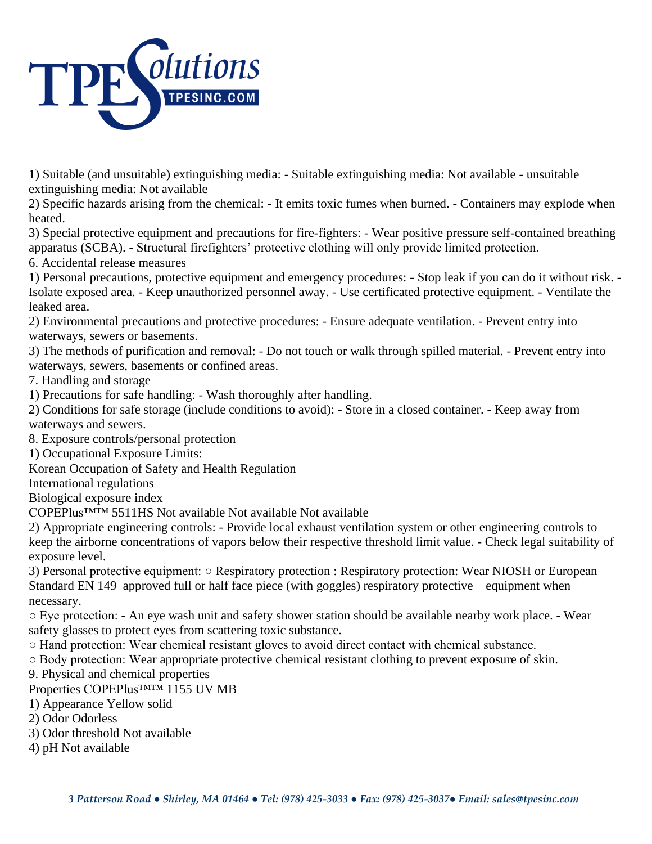

1) Suitable (and unsuitable) extinguishing media: - Suitable extinguishing media: Not available - unsuitable extinguishing media: Not available

2) Specific hazards arising from the chemical: - It emits toxic fumes when burned. - Containers may explode when heated.

3) Special protective equipment and precautions for fire-fighters: - Wear positive pressure self-contained breathing apparatus (SCBA). - Structural firefighters' protective clothing will only provide limited protection.

6. Accidental release measures

1) Personal precautions, protective equipment and emergency procedures: - Stop leak if you can do it without risk. - Isolate exposed area. - Keep unauthorized personnel away. - Use certificated protective equipment. - Ventilate the leaked area.

2) Environmental precautions and protective procedures: - Ensure adequate ventilation. - Prevent entry into waterways, sewers or basements.

3) The methods of purification and removal: - Do not touch or walk through spilled material. - Prevent entry into waterways, sewers, basements or confined areas.

7. Handling and storage

1) Precautions for safe handling: - Wash thoroughly after handling.

2) Conditions for safe storage (include conditions to avoid): - Store in a closed container. - Keep away from waterways and sewers.

8. Exposure controls/personal protection

1) Occupational Exposure Limits:

Korean Occupation of Safety and Health Regulation

International regulations

Biological exposure index

COPEPlus™™ 5511HS Not available Not available Not available

2) Appropriate engineering controls: - Provide local exhaust ventilation system or other engineering controls to keep the airborne concentrations of vapors below their respective threshold limit value. - Check legal suitability of exposure level.

3) Personal protective equipment: ○ Respiratory protection : Respiratory protection: Wear NIOSH or European Standard EN 149 approved full or half face piece (with goggles) respiratory protective equipment when necessary.

○ Eye protection: - An eye wash unit and safety shower station should be available nearby work place. - Wear safety glasses to protect eyes from scattering toxic substance.

○ Hand protection: Wear chemical resistant gloves to avoid direct contact with chemical substance.

○ Body protection: Wear appropriate protective chemical resistant clothing to prevent exposure of skin.

9. Physical and chemical properties

Properties COPEPlus™™ 1155 UV MB

1) Appearance Yellow solid

2) Odor Odorless

- 3) Odor threshold Not available
- 4) pH Not available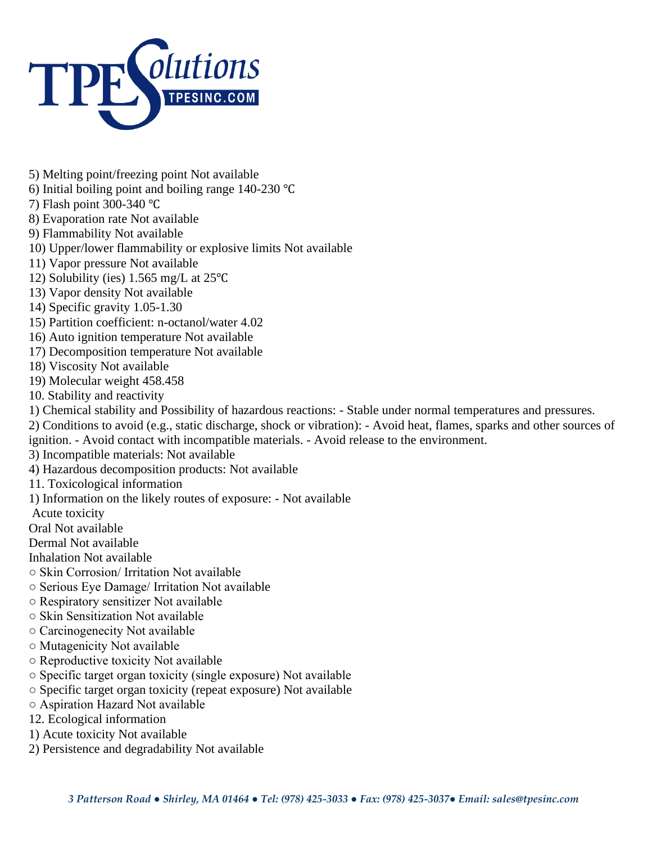

- 5) Melting point/freezing point Not available
- 6) Initial boiling point and boiling range 140-230 ℃
- 7) Flash point 300-340 ℃
- 8) Evaporation rate Not available
- 9) Flammability Not available
- 10) Upper/lower flammability or explosive limits Not available
- 11) Vapor pressure Not available
- 12) Solubility (ies) 1.565 mg/L at 25℃
- 13) Vapor density Not available
- 14) Specific gravity 1.05-1.30
- 15) Partition coefficient: n-octanol/water 4.02
- 16) Auto ignition temperature Not available
- 17) Decomposition temperature Not available
- 18) Viscosity Not available
- 19) Molecular weight 458.458
- 10. Stability and reactivity
- 1) Chemical stability and Possibility of hazardous reactions: Stable under normal temperatures and pressures.
- 2) Conditions to avoid (e.g., static discharge, shock or vibration): Avoid heat, flames, sparks and other sources of
- ignition. Avoid contact with incompatible materials. Avoid release to the environment.
- 3) Incompatible materials: Not available
- 4) Hazardous decomposition products: Not available
- 11. Toxicological information
- 1) Information on the likely routes of exposure: Not available
- Acute toxicity
- Oral Not available
- Dermal Not available
- Inhalation Not available
- Skin Corrosion/ Irritation Not available
- Serious Eye Damage/ Irritation Not available
- Respiratory sensitizer Not available
- Skin Sensitization Not available
- Carcinogenecity Not available
- Mutagenicity Not available
- Reproductive toxicity Not available
- Specific target organ toxicity (single exposure) Not available
- Specific target organ toxicity (repeat exposure) Not available
- Aspiration Hazard Not available
- 12. Ecological information
- 1) Acute toxicity Not available
- 2) Persistence and degradability Not available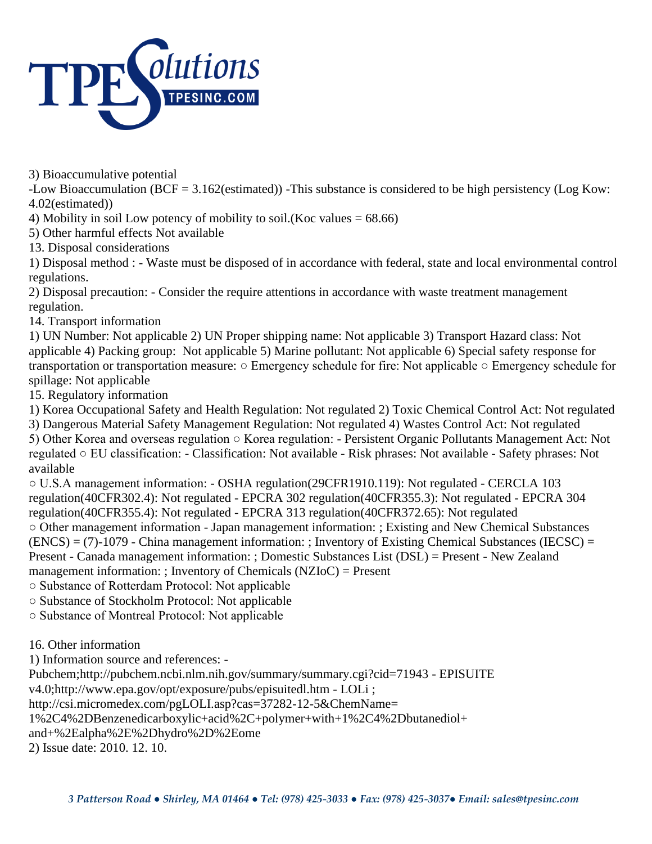

3) Bioaccumulative potential

-Low Bioaccumulation (BCF = 3.162(estimated)) -This substance is considered to be high persistency (Log Kow: 4.02(estimated))

4) Mobility in soil Low potency of mobility to soil.(Koc values  $= 68.66$ )

5) Other harmful effects Not available

13. Disposal considerations

1) Disposal method : - Waste must be disposed of in accordance with federal, state and local environmental control regulations.

2) Disposal precaution: - Consider the require attentions in accordance with waste treatment management regulation.

14. Transport information

1) UN Number: Not applicable 2) UN Proper shipping name: Not applicable 3) Transport Hazard class: Not applicable 4) Packing group: Not applicable 5) Marine pollutant: Not applicable 6) Special safety response for transportation or transportation measure: ○ Emergency schedule for fire: Not applicable ○ Emergency schedule for spillage: Not applicable

15. Regulatory information

1) Korea Occupational Safety and Health Regulation: Not regulated 2) Toxic Chemical Control Act: Not regulated 3) Dangerous Material Safety Management Regulation: Not regulated 4) Wastes Control Act: Not regulated 5) Other Korea and overseas regulation ○ Korea regulation: - Persistent Organic Pollutants Management Act: Not

regulated ○ EU classification: - Classification: Not available - Risk phrases: Not available - Safety phrases: Not available

○ U.S.A management information: - OSHA regulation(29CFR1910.119): Not regulated - CERCLA 103 regulation(40CFR302.4): Not regulated - EPCRA 302 regulation(40CFR355.3): Not regulated - EPCRA 304 regulation(40CFR355.4): Not regulated - EPCRA 313 regulation(40CFR372.65): Not regulated ○ Other management information - Japan management information: ; Existing and New Chemical Substances  $(ENCS) = (7) - 1079$  - China management information: ; Inventory of Existing Chemical Substances (IECSC) = Present - Canada management information: ; Domestic Substances List (DSL) = Present - New Zealand management information: ; Inventory of Chemicals (NZIoC) = Present

○ Substance of Rotterdam Protocol: Not applicable

○ Substance of Stockholm Protocol: Not applicable

○ Substance of Montreal Protocol: Not applicable

16. Other information

1) Information source and references: -

Pubchem;http://pubchem.ncbi.nlm.nih.gov/summary/summary.cgi?cid=71943 - EPISUITE

v4.0;http://www.epa.gov/opt/exposure/pubs/episuitedl.htm - LOLi ;

http://csi.micromedex.com/pgLOLI.asp?cas=37282-12-5&ChemName=

1%2C4%2DBenzenedicarboxylic+acid%2C+polymer+with+1%2C4%2Dbutanediol+

and+%2Ealpha%2E%2Dhydro%2D%2Eome

2) Issue date: 2010. 12. 10.